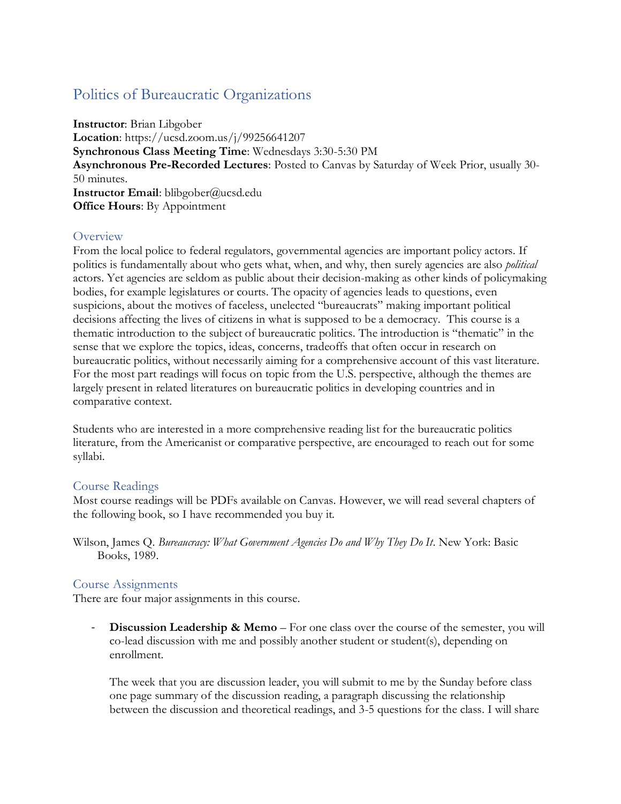# Politics of Bureaucratic Organizations

**Instructor**: Brian Libgober **Location**: https://ucsd.zoom.us/j/99256641207 **Synchronous Class Meeting Time**: Wednesdays 3:30-5:30 PM **Asynchronous Pre-Recorded Lectures**: Posted to Canvas by Saturday of Week Prior, usually 30- 50 minutes. **Instructor Email**: blibgober@ucsd.edu **Office Hours**: By Appointment

## **Overview**

From the local police to federal regulators, governmental agencies are important policy actors. If politics is fundamentally about who gets what, when, and why, then surely agencies are also *political*  actors. Yet agencies are seldom as public about their decision-making as other kinds of policymaking bodies, for example legislatures or courts. The opacity of agencies leads to questions, even suspicions, about the motives of faceless, unelected "bureaucrats" making important political decisions affecting the lives of citizens in what is supposed to be a democracy. This course is a thematic introduction to the subject of bureaucratic politics. The introduction is "thematic" in the sense that we explore the topics, ideas, concerns, tradeoffs that often occur in research on bureaucratic politics, without necessarily aiming for a comprehensive account of this vast literature. For the most part readings will focus on topic from the U.S. perspective, although the themes are largely present in related literatures on bureaucratic politics in developing countries and in comparative context.

Students who are interested in a more comprehensive reading list for the bureaucratic politics literature, from the Americanist or comparative perspective, are encouraged to reach out for some syllabi.

## Course Readings

Most course readings will be PDFs available on Canvas. However, we will read several chapters of the following book, so I have recommended you buy it.

Wilson, James Q. *Bureaucracy: What Government Agencies Do and Why They Do It*. New York: Basic Books, 1989.

## Course Assignments

There are four major assignments in this course.

- **Discussion Leadership & Memo** – For one class over the course of the semester, you will co-lead discussion with me and possibly another student or student(s), depending on enrollment.

The week that you are discussion leader, you will submit to me by the Sunday before class one page summary of the discussion reading, a paragraph discussing the relationship between the discussion and theoretical readings, and 3-5 questions for the class. I will share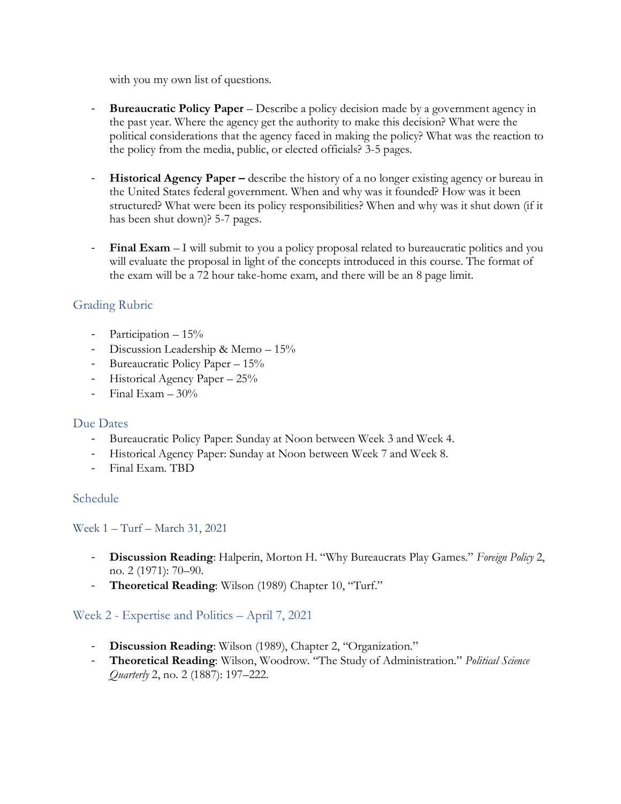with you my own list of questions.

- **Bureaucratic Policy Paper –** Describe a policy decision made by a government agency in the past year. Where the agency get the authority to make this decision? What were the political considerations that the agency faced in making the policy? What was the reaction to the policy from the media, public, or elected officials? 3-5 pages.
- **Historical Agency Paper –** describe the history of a no longer existing agency or bureau in the United States federal government. When and why was it founded? How was it been structured? What were been its policy responsibilities? When and why was it shut down (if it has been shut down)? 5-7 pages.
- **Final Exam** I will submit to you a policy proposal related to bureaucratic politics and you will evaluate the proposal in light of the concepts introduced in this course. The format of the exam will be a 72 hour take-home exam, and there will be an 8 page limit.

# Grading Rubric

- Participation 15%
- Discussion Leadership & Memo 15%
- Bureaucratic Policy Paper 15%
- Historical Agency Paper 25%
- $-$  Final Exam  $-30\%$

## Due Dates

- Bureaucratic Policy Paper: Sunday at Noon between Week 3 and Week 4.
- Historical Agency Paper: Sunday at Noon between Week 7 and Week 8.
- Final Exam. TBD

## Schedule

Week 1 – Turf – March 31, 2021

- **Discussion Reading**: Halperin, Morton H. "Why Bureaucrats Play Games." *Foreign Policy* 2, no. 2 (1971): 70–90.
- **Theoretical Reading**: Wilson (1989) Chapter 10, "Turf."

# Week 2 - Expertise and Politics – April 7, 2021

- **Discussion Reading**: Wilson (1989), Chapter 2, "Organization."
- **Theoretical Reading**: Wilson, Woodrow. "The Study of Administration." *Political Science Quarterly* 2, no. 2 (1887): 197–222.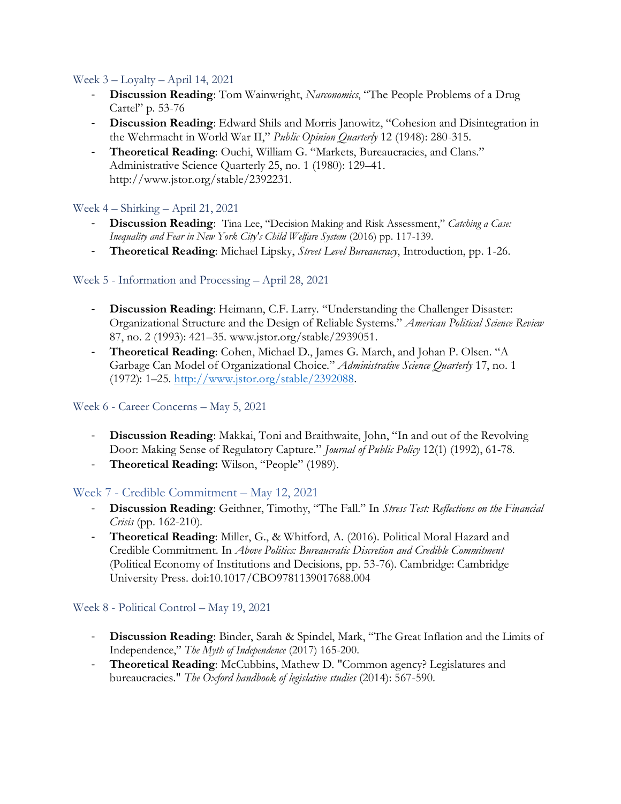## Week 3 – Loyalty – April 14, 2021

- **Discussion Reading**: Tom Wainwright, *Narconomics*, "The People Problems of a Drug Cartel" p. 53-76
- **Discussion Reading**: Edward Shils and Morris Janowitz, "Cohesion and Disintegration in the Wehrmacht in World War II," *Public Opinion Quarterly* 12 (1948): 280-315.
- **Theoretical Reading**: Ouchi, William G. "Markets, Bureaucracies, and Clans." Administrative Science Quarterly 25, no. 1 (1980): 129–41. http://www.jstor.org/stable/2392231.

## Week 4 – Shirking – April 21, 2021

- **Discussion Reading**: Tina Lee, "Decision Making and Risk Assessment," *Catching a Case: Inequality and Fear in New York City's Child Welfare System* (2016) pp. 117-139.
- **Theoretical Reading**: Michael Lipsky, *Street Level Bureaucracy*, Introduction, pp. 1-26.

## Week 5 - Information and Processing – April 28, 2021

- **Discussion Reading**: Heimann, C.F. Larry. "Understanding the Challenger Disaster: Organizational Structure and the Design of Reliable Systems." *American Political Science Review* 87, no. 2 (1993): 421–35. www.jstor.org/stable/2939051.
- **Theoretical Reading**: Cohen, Michael D., James G. March, and Johan P. Olsen. "A Garbage Can Model of Organizational Choice." *Administrative Science Quarterly* 17, no. 1 (1972): 1–25. [http://www.jstor.org/stable/2392088.](http://www.jstor.org/stable/2392088)

## Week 6 - Career Concerns – May 5, 2021

- **Discussion Reading**: Makkai, Toni and Braithwaite, John, "In and out of the Revolving Door: Making Sense of Regulatory Capture." *Journal of Public Policy* 12(1) (1992), 61-78.
- **Theoretical Reading:** Wilson, "People" (1989).

# Week 7 - Credible Commitment – May 12, 2021

- **Discussion Reading**: Geithner, Timothy, "The Fall." In *Stress Test: Reflections on the Financial Crisis* (pp. 162-210).
- **Theoretical Reading**: Miller, G., & Whitford, A. (2016). Political Moral Hazard and Credible Commitment. In *Above Politics: Bureaucratic Discretion and Credible Commitment* (Political Economy of Institutions and Decisions, pp. 53-76). Cambridge: Cambridge University Press. doi:10.1017/CBO9781139017688.004

## Week 8 - Political Control – May 19, 2021

- **Discussion Reading**: Binder, Sarah & Spindel, Mark, "The Great Inflation and the Limits of Independence," *The Myth of Independence* (2017) 165-200.
- **Theoretical Reading**: McCubbins, Mathew D. "Common agency? Legislatures and bureaucracies." *The Oxford handbook of legislative studies* (2014): 567-590.